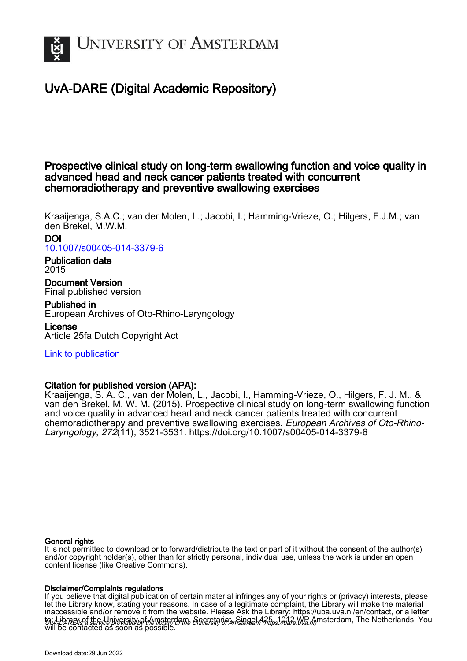

# UvA-DARE (Digital Academic Repository)

## Prospective clinical study on long-term swallowing function and voice quality in advanced head and neck cancer patients treated with concurrent chemoradiotherapy and preventive swallowing exercises

Kraaijenga, S.A.C.; van der Molen, L.; Jacobi, I.; Hamming-Vrieze, O.; Hilgers, F.J.M.; van den Brekel, M.W.M.

### DOI [10.1007/s00405-014-3379-6](https://doi.org/10.1007/s00405-014-3379-6)

### Publication date 2015

Document Version Final published version

## Published in

European Archives of Oto-Rhino-Laryngology

License Article 25fa Dutch Copyright Act

## [Link to publication](https://dare.uva.nl/personal/pure/en/publications/prospective-clinical-study-on-longterm-swallowing-function-and-voice-quality-in-advanced-head-and-neck-cancer-patients-treated-with-concurrent-chemoradiotherapy-and-preventive-swallowing-exercises(20dd9aba-38ab-4217-be81-d3ae92b63cee).html)

## Citation for published version (APA):

Kraaijenga, S. A. C., van der Molen, L., Jacobi, I., Hamming-Vrieze, O., Hilgers, F. J. M., & van den Brekel, M. W. M. (2015). Prospective clinical study on long-term swallowing function and voice quality in advanced head and neck cancer patients treated with concurrent chemoradiotherapy and preventive swallowing exercises. European Archives of Oto-Rhino-Laryngology, 272(11), 3521-3531.<https://doi.org/10.1007/s00405-014-3379-6>

### General rights

It is not permitted to download or to forward/distribute the text or part of it without the consent of the author(s) and/or copyright holder(s), other than for strictly personal, individual use, unless the work is under an open content license (like Creative Commons).

### Disclaimer/Complaints regulations

UvA-DARE is a service provided by the library of the University of Amsterdam (http*s*://dare.uva.nl) If you believe that digital publication of certain material infringes any of your rights or (privacy) interests, please let the Library know, stating your reasons. In case of a legitimate complaint, the Library will make the material inaccessible and/or remove it from the website. Please Ask the Library: https://uba.uva.nl/en/contact, or a letter to: Library of the Linixersity of Amsterdam, Secretariat, Singel 425, 1012 WB Amsterdam, The Netherlands. You will be contacted as soon as possible.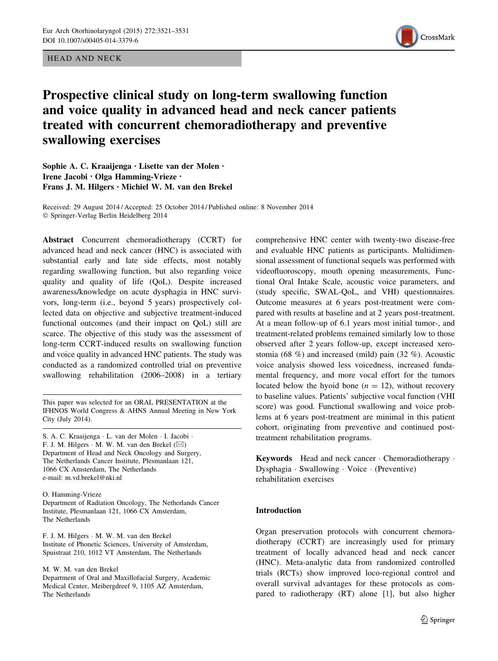HEAD AND NECK



# Prospective clinical study on long-term swallowing function and voice quality in advanced head and neck cancer patients treated with concurrent chemoradiotherapy and preventive swallowing exercises

Sophie A. C. Kraaijenga • Lisette van der Molen • Irene Jacobi • Olga Hamming-Vrieze • Frans J. M. Hilgers • Michiel W. M. van den Brekel

Received: 29 August 2014 / Accepted: 25 October 2014 / Published online: 8 November 2014 - Springer-Verlag Berlin Heidelberg 2014

Abstract Concurrent chemoradiotherapy (CCRT) for advanced head and neck cancer (HNC) is associated with substantial early and late side effects, most notably regarding swallowing function, but also regarding voice quality and quality of life (QoL). Despite increased awareness/knowledge on acute dysphagia in HNC survivors, long-term (i.e., beyond 5 years) prospectively collected data on objective and subjective treatment-induced functional outcomes (and their impact on QoL) still are scarce. The objective of this study was the assessment of long-term CCRT-induced results on swallowing function and voice quality in advanced HNC patients. The study was conducted as a randomized controlled trial on preventive swallowing rehabilitation (2006–2008) in a tertiary

This paper was selected for an ORAL PRESENTATION at the IFHNOS World Congress & AHNS Annual Meeting in New York City (July 2014).

S. A. C. Kraaijenga - L. van der Molen - I. Jacobi - F. J. M. Hilgers ⋅ M. W. M. van den Brekel (⊠) Department of Head and Neck Oncology and Surgery, The Netherlands Cancer Institute, Plesmanlaan 121, 1066 CX Amsterdam, The Netherlands e-mail: m.vd.brekel@nki.nl

O. Hamming-Vrieze

Department of Radiation Oncology, The Netherlands Cancer Institute, Plesmanlaan 121, 1066 CX Amsterdam, The Netherlands

F. J. M. Hilgers - M. W. M. van den Brekel Institute of Phonetic Sciences, University of Amsterdam, Spuistraat 210, 1012 VT Amsterdam, The Netherlands

M. W. M. van den Brekel

Department of Oral and Maxillofacial Surgery, Academic Medical Center, Meibergdreef 9, 1105 AZ Amsterdam, The Netherlands

comprehensive HNC center with twenty-two disease-free and evaluable HNC patients as participants. Multidimensional assessment of functional sequels was performed with videofluoroscopy, mouth opening measurements, Functional Oral Intake Scale, acoustic voice parameters, and (study specific, SWAL-QoL, and VHI) questionnaires. Outcome measures at 6 years post-treatment were compared with results at baseline and at 2 years post-treatment. At a mean follow-up of 6.1 years most initial tumor-, and treatment-related problems remained similarly low to those observed after 2 years follow-up, except increased xerostomia (68 %) and increased (mild) pain (32 %). Acoustic voice analysis showed less voicedness, increased fundamental frequency, and more vocal effort for the tumors located below the hyoid bone  $(n = 12)$ , without recovery to baseline values. Patients' subjective vocal function (VHI score) was good. Functional swallowing and voice problems at 6 years post-treatment are minimal in this patient cohort, originating from preventive and continued posttreatment rehabilitation programs.

Keywords Head and neck cancer - Chemoradiotherapy - Dysphagia - Swallowing - Voice - (Preventive) rehabilitation exercises

#### Introduction

Organ preservation protocols with concurrent chemoradiotherapy (CCRT) are increasingly used for primary treatment of locally advanced head and neck cancer (HNC). Meta-analytic data from randomized controlled trials (RCTs) show improved loco-regional control and overall survival advantages for these protocols as compared to radiotherapy (RT) alone [\[1](#page-9-0)], but also higher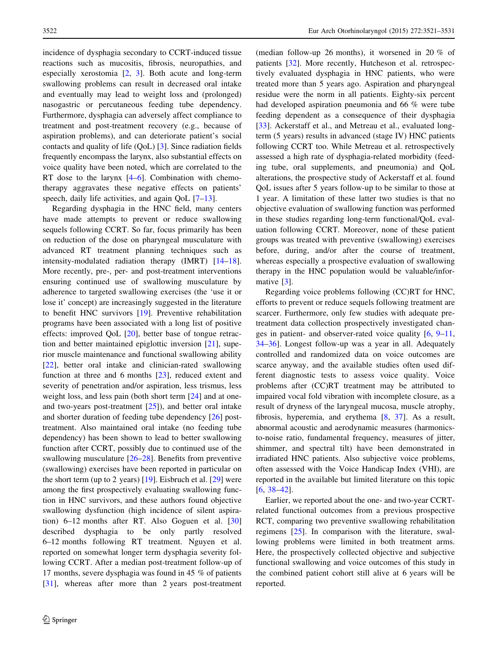incidence of dysphagia secondary to CCRT-induced tissue reactions such as mucositis, fibrosis, neuropathies, and especially xerostomia [[2,](#page-9-0) [3](#page-9-0)]. Both acute and long-term swallowing problems can result in decreased oral intake and eventually may lead to weight loss and (prolonged) nasogastric or percutaneous feeding tube dependency. Furthermore, dysphagia can adversely affect compliance to treatment and post-treatment recovery (e.g., because of aspiration problems), and can deteriorate patient's social contacts and quality of life (QoL) [\[3](#page-9-0)]. Since radiation fields frequently encompass the larynx, also substantial effects on voice quality have been noted, which are correlated to the RT dose to the larynx [\[4–6](#page-9-0)]. Combination with chemotherapy aggravates these negative effects on patients' speech, daily life activities, and again  $\text{OoL}$  [\[7](#page-9-0)[–13](#page-10-0)].

Regarding dysphagia in the HNC field, many centers have made attempts to prevent or reduce swallowing sequels following CCRT. So far, focus primarily has been on reduction of the dose on pharyngeal musculature with advanced RT treatment planning techniques such as intensity-modulated radiation therapy (IMRT) [\[14–18](#page-10-0)]. More recently, pre-, per- and post-treatment interventions ensuring continued use of swallowing musculature by adherence to targeted swallowing exercises (the 'use it or lose it' concept) are increasingly suggested in the literature to benefit HNC survivors [\[19](#page-10-0)]. Preventive rehabilitation programs have been associated with a long list of positive effects: improved QoL [[20\]](#page-10-0), better base of tongue retraction and better maintained epiglottic inversion [\[21](#page-10-0)], superior muscle maintenance and functional swallowing ability [\[22](#page-10-0)], better oral intake and clinician-rated swallowing function at three and 6 months [\[23](#page-10-0)], reduced extent and severity of penetration and/or aspiration, less trismus, less weight loss, and less pain (both short term [[24\]](#page-10-0) and at oneand two-years post-treatment [\[25](#page-10-0)]), and better oral intake and shorter duration of feeding tube dependency [\[26](#page-10-0)] posttreatment. Also maintained oral intake (no feeding tube dependency) has been shown to lead to better swallowing function after CCRT, possibly due to continued use of the swallowing musculature [\[26–28](#page-10-0)]. Benefits from preventive (swallowing) exercises have been reported in particular on the short term (up to 2 years)  $[19]$  $[19]$ . Eisbruch et al.  $[29]$  $[29]$  were among the first prospectively evaluating swallowing function in HNC survivors, and these authors found objective swallowing dysfunction (high incidence of silent aspiration) 6–12 months after RT. Also Goguen et al. [[30\]](#page-10-0) described dysphagia to be only partly resolved 6–12 months following RT treatment. Nguyen et al. reported on somewhat longer term dysphagia severity following CCRT. After a median post-treatment follow-up of 17 months, severe dysphagia was found in 45 % of patients [\[31](#page-10-0)], whereas after more than 2 years post-treatment (median follow-up 26 months), it worsened in 20 % of patients [\[32](#page-10-0)]. More recently, Hutcheson et al. retrospectively evaluated dysphagia in HNC patients, who were treated more than 5 years ago. Aspiration and pharyngeal residue were the norm in all patients. Eighty-six percent had developed aspiration pneumonia and 66 % were tube feeding dependent as a consequence of their dysphagia [\[33](#page-10-0)]. Ackerstaff et al., and Metreau et al., evaluated longterm (5 years) results in advanced (stage IV) HNC patients following CCRT too. While Metreau et al. retrospectively assessed a high rate of dysphagia-related morbidity (feeding tube, oral supplements, and pneumonia) and QoL alterations, the prospective study of Ackerstaff et al. found QoL issues after 5 years follow-up to be similar to those at 1 year. A limitation of these latter two studies is that no objective evaluation of swallowing function was performed in these studies regarding long-term functional/QoL evaluation following CCRT. Moreover, none of these patient groups was treated with preventive (swallowing) exercises before, during, and/or after the course of treatment, whereas especially a prospective evaluation of swallowing therapy in the HNC population would be valuable/informative [\[3](#page-9-0)].

Regarding voice problems following (CC)RT for HNC, efforts to prevent or reduce sequels following treatment are scarcer. Furthermore, only few studies with adequate pretreatment data collection prospectively investigated changes in patient- and observer-rated voice quality [\[6](#page-9-0), [9–11,](#page-10-0) [34–36](#page-10-0)]. Longest follow-up was a year in all. Adequately controlled and randomized data on voice outcomes are scarce anyway, and the available studies often used different diagnostic tests to assess voice quality. Voice problems after (CC)RT treatment may be attributed to impaired vocal fold vibration with incomplete closure, as a result of dryness of the laryngeal mucosa, muscle atrophy, fibrosis, hyperemia, and erythema [\[8](#page-10-0), [37](#page-10-0)]. As a result, abnormal acoustic and aerodynamic measures (harmonicsto-noise ratio, fundamental frequency, measures of jitter, shimmer, and spectral tilt) have been demonstrated in irradiated HNC patients. Also subjective voice problems, often assessed with the Voice Handicap Index (VHI), are reported in the available but limited literature on this topic [\[6](#page-9-0), [38–42](#page-11-0)].

Earlier, we reported about the one- and two-year CCRTrelated functional outcomes from a previous prospective RCT, comparing two preventive swallowing rehabilitation regimens [\[25](#page-10-0)]. In comparison with the literature, swallowing problems were limited in both treatment arms. Here, the prospectively collected objective and subjective functional swallowing and voice outcomes of this study in the combined patient cohort still alive at 6 years will be reported.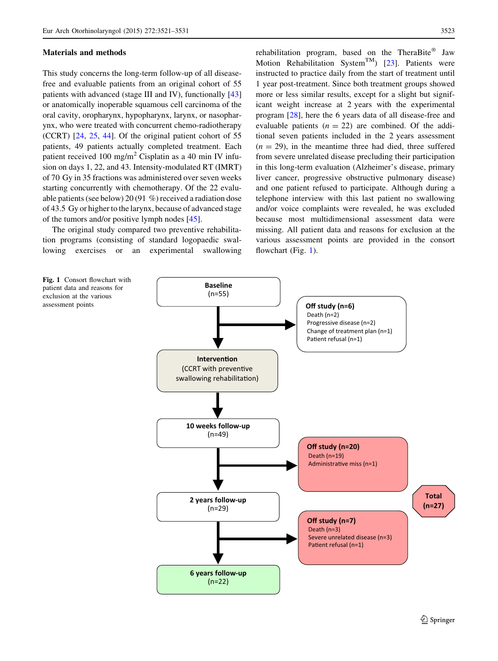#### Materials and methods

This study concerns the long-term follow-up of all diseasefree and evaluable patients from an original cohort of 55 patients with advanced (stage III and IV), functionally [[43\]](#page-11-0) or anatomically inoperable squamous cell carcinoma of the oral cavity, oropharynx, hypopharynx, larynx, or nasopharynx, who were treated with concurrent chemo-radiotherapy (CCRT) [[24,](#page-10-0) [25,](#page-10-0) [44\]](#page-11-0). Of the original patient cohort of 55 patients, 49 patients actually completed treatment. Each patient received 100 mg/m<sup>2</sup> Cisplatin as a 40 min IV infusion on days 1, 22, and 43. Intensity-modulated RT (IMRT) of 70 Gy in 35 fractions was administered over seven weeks starting concurrently with chemotherapy. Of the 22 evaluable patients (see below) 20 (91 %) received a radiation dose of 43.5 Gy or higher to the larynx, because of advanced stage of the tumors and/or positive lymph nodes [\[45](#page-11-0)].

The original study compared two preventive rehabilitation programs (consisting of standard logopaedic swallowing exercises or an experimental swallowing

Fig. 1 Consort flowchart with patient data and reasons for exclusion at the various assessment points

rehabilitation program, based on the TheraBite<sup>®</sup> Jaw Motion Rehabilitation System<sup>TM</sup>) [\[23](#page-10-0)]. Patients were instructed to practice daily from the start of treatment until 1 year post-treatment. Since both treatment groups showed more or less similar results, except for a slight but significant weight increase at 2 years with the experimental program [[28\]](#page-10-0), here the 6 years data of all disease-free and evaluable patients  $(n = 22)$  are combined. Of the additional seven patients included in the 2 years assessment  $(n = 29)$ , in the meantime three had died, three suffered from severe unrelated disease precluding their participation in this long-term evaluation (Alzheimer's disease, primary liver cancer, progressive obstructive pulmonary disease) and one patient refused to participate. Although during a telephone interview with this last patient no swallowing and/or voice complaints were revealed, he was excluded because most multidimensional assessment data were missing. All patient data and reasons for exclusion at the various assessment points are provided in the consort flowchart (Fig. 1).

![](_page_3_Figure_7.jpeg)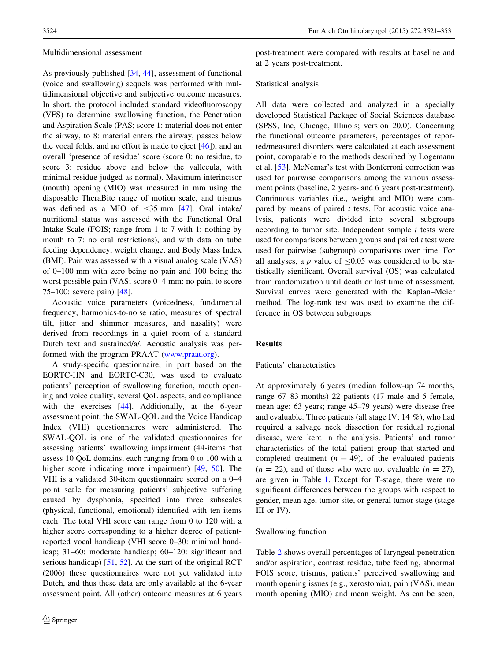#### Multidimensional assessment

As previously published [\[34](#page-10-0), [44\]](#page-11-0), assessment of functional (voice and swallowing) sequels was performed with multidimensional objective and subjective outcome measures. In short, the protocol included standard videofluoroscopy (VFS) to determine swallowing function, the Penetration and Aspiration Scale (PAS; score 1: material does not enter the airway, to 8: material enters the airway, passes below the vocal folds, and no effort is made to eject [[46\]](#page-11-0)), and an overall 'presence of residue' score (score 0: no residue, to score 3: residue above and below the vallecula, with minimal residue judged as normal). Maximum interincisor (mouth) opening (MIO) was measured in mm using the disposable TheraBite range of motion scale, and trismus was defined as a MIO of  $\leq$ 35 mm [[47\]](#page-11-0). Oral intake/ nutritional status was assessed with the Functional Oral Intake Scale (FOIS; range from 1 to 7 with 1: nothing by mouth to 7: no oral restrictions), and with data on tube feeding dependency, weight change, and Body Mass Index (BMI). Pain was assessed with a visual analog scale (VAS) of 0–100 mm with zero being no pain and 100 being the worst possible pain (VAS; score 0–4 mm: no pain, to score 75–100: severe pain) [\[48](#page-11-0)].

Acoustic voice parameters (voicedness, fundamental frequency, harmonics-to-noise ratio, measures of spectral tilt, jitter and shimmer measures, and nasality) were derived from recordings in a quiet room of a standard Dutch text and sustained/a/. Acoustic analysis was performed with the program PRAAT [\(www.praat.org](http://www.praat.org)).

A study-specific questionnaire, in part based on the EORTC-HN and EORTC-C30, was used to evaluate patients' perception of swallowing function, mouth opening and voice quality, several QoL aspects, and compliance with the exercises [\[44](#page-11-0)]. Additionally, at the 6-year assessment point, the SWAL-QOL and the Voice Handicap Index (VHI) questionnaires were administered. The SWAL-QOL is one of the validated questionnaires for assessing patients' swallowing impairment (44-items that assess 10 QoL domains, each ranging from 0 to 100 with a higher score indicating more impairment) [[49,](#page-11-0) [50\]](#page-11-0). The VHI is a validated 30-item questionnaire scored on a 0–4 point scale for measuring patients' subjective suffering caused by dysphonia, specified into three subscales (physical, functional, emotional) identified with ten items each. The total VHI score can range from 0 to 120 with a higher score corresponding to a higher degree of patientreported vocal handicap (VHI score 0–30: minimal handicap; 31–60: moderate handicap; 60–120: significant and serious handicap) [[51,](#page-11-0) [52](#page-11-0)]. At the start of the original RCT (2006) these questionnaires were not yet validated into Dutch, and thus these data are only available at the 6-year assessment point. All (other) outcome measures at 6 years post-treatment were compared with results at baseline and at 2 years post-treatment.

#### Statistical analysis

All data were collected and analyzed in a specially developed Statistical Package of Social Sciences database (SPSS, Inc, Chicago, Illinois; version 20.0). Concerning the functional outcome parameters, percentages of reported/measured disorders were calculated at each assessment point, comparable to the methods described by Logemann et al. [\[53](#page-11-0)]. McNemar's test with Bonferroni correction was used for pairwise comparisons among the various assessment points (baseline, 2 years- and 6 years post-treatment). Continuous variables (i.e., weight and MIO) were compared by means of paired  $t$  tests. For acoustic voice analysis, patients were divided into several subgroups according to tumor site. Independent sample  $t$  tests were used for comparisons between groups and paired  $t$  test were used for pairwise (subgroup) comparisons over time. For all analyses, a  $p$  value of  $\leq 0.05$  was considered to be statistically significant. Overall survival (OS) was calculated from randomization until death or last time of assessment. Survival curves were generated with the Kaplan–Meier method. The log-rank test was used to examine the difference in OS between subgroups.

#### Results

#### Patients' characteristics

At approximately 6 years (median follow-up 74 months, range 67–83 months) 22 patients (17 male and 5 female, mean age: 63 years; range 45–79 years) were disease free and evaluable. Three patients (all stage IV; 14 %), who had required a salvage neck dissection for residual regional disease, were kept in the analysis. Patients' and tumor characteristics of the total patient group that started and completed treatment  $(n = 49)$ , of the evaluated patients  $(n = 22)$ , and of those who were not evaluable  $(n = 27)$ , are given in Table [1](#page-5-0). Except for T-stage, there were no significant differences between the groups with respect to gender, mean age, tumor site, or general tumor stage (stage III or IV).

#### Swallowing function

Table [2](#page-6-0) shows overall percentages of laryngeal penetration and/or aspiration, contrast residue, tube feeding, abnormal FOIS score, trismus, patients' perceived swallowing and mouth opening issues (e.g., xerostomia), pain (VAS), mean mouth opening (MIO) and mean weight. As can be seen,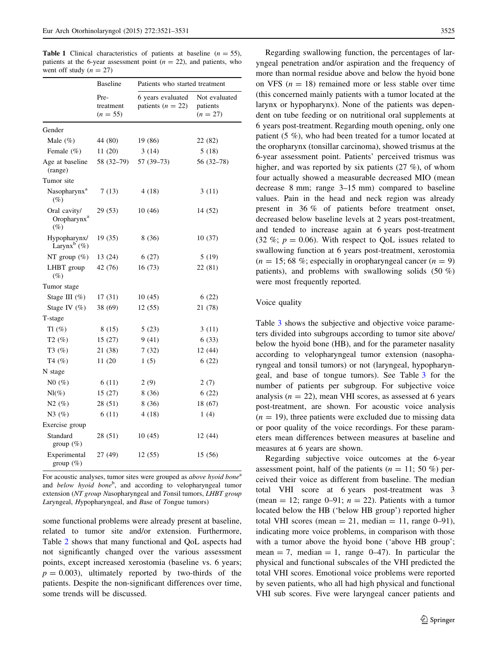<span id="page-5-0"></span>**Table 1** Clinical characteristics of patients at baseline  $(n = 55)$ , patients at the 6-year assessment point  $(n = 22)$ , and patients, who went off study ( $n = 27$ )

|                                                   | <b>Baseline</b>                 | Patients who started treatment           |                                         |  |  |  |
|---------------------------------------------------|---------------------------------|------------------------------------------|-----------------------------------------|--|--|--|
|                                                   | Pre-<br>treatment<br>$(n = 55)$ | 6 years evaluated<br>patients $(n = 22)$ | Not evaluated<br>patients<br>$(n = 27)$ |  |  |  |
| Gender                                            |                                 |                                          |                                         |  |  |  |
| Male $(\%)$                                       | 44 (80)                         | 19 (86)                                  | 22 (82)                                 |  |  |  |
| Female (%)                                        | 11(20)                          | 3(14)                                    | 5(18)                                   |  |  |  |
| Age at baseline<br>(range)                        | 58 (32-79)                      | $57(39-73)$                              | $56(32-78)$                             |  |  |  |
| Tumor site                                        |                                 |                                          |                                         |  |  |  |
| Nasopharynx <sup>a</sup><br>$(\%)$                | 7(13)                           | 4(18)                                    | 3(11)                                   |  |  |  |
| Oral cavity/<br>Oropharynx <sup>a</sup><br>$(\%)$ | 29 (53)                         | 10(46)                                   | 14 (52)                                 |  |  |  |
| Hypopharynx/<br>Larynx <sup>b</sup> $(\%)$        | 19(35)                          | 8(36)                                    | 10(37)                                  |  |  |  |
| NT group $(\%)$                                   | 13 (24)                         | 6(27)                                    | 5(19)                                   |  |  |  |
| LHBT group<br>$(\%)$                              | 42 (76)                         | 16(73)                                   | 22 (81)                                 |  |  |  |
| Tumor stage                                       |                                 |                                          |                                         |  |  |  |
| Stage III (%)                                     | 17(31)                          | 10(45)                                   | 6(22)                                   |  |  |  |
| Stage IV (%)                                      | 38 (69)                         | 12(55)                                   | 21 (78)                                 |  |  |  |
| T-stage                                           |                                 |                                          |                                         |  |  |  |
| $T1$ (%)                                          | 8 (15)                          | 5(23)                                    | 3(11)                                   |  |  |  |
| T2(%)                                             | 15(27)                          | 9(41)                                    | 6(33)                                   |  |  |  |
| $T3(\%)$                                          | 21 (38)                         | 7(32)                                    | 12 (44)                                 |  |  |  |
| T4(%)                                             | 11 (20                          | 1(5)                                     | 6(22)                                   |  |  |  |
| N stage                                           |                                 |                                          |                                         |  |  |  |
| N0(%)                                             | 6(11)                           | 2(9)                                     | 2(7)                                    |  |  |  |
| $Nl(\%)$                                          | 15(27)                          | 8(36)                                    | 6(22)                                   |  |  |  |
| N2(%)                                             | 28 (51)                         | 8(36)                                    | 18 (67)                                 |  |  |  |
| N3(%)                                             | 6(11)                           | 4(18)                                    | 1(4)                                    |  |  |  |
| Exercise group                                    |                                 |                                          |                                         |  |  |  |
| Standard<br>group $(\%)$                          | 28 (51)                         | 10(45)                                   | 12 (44)                                 |  |  |  |
| Experimental<br>group $(\%)$                      | 27 (49)                         | 12(55)                                   | 15 (56)                                 |  |  |  |

For acoustic analyses, tumor sites were grouped as *above hyoid bone*<sup>a</sup> and below hyoid bone<sup>b</sup>, and according to velopharyngeal tumor extension (NT group Nasopharyngeal and Tonsil tumors, LHBT group Laryngeal, Hypopharyngeal, and Base of Tongue tumors)

some functional problems were already present at baseline, related to tumor site and/or extension. Furthermore, Table [2](#page-6-0) shows that many functional and QoL aspects had not significantly changed over the various assessment points, except increased xerostomia (baseline vs. 6 years;  $p = 0.003$ ), ultimately reported by two-thirds of the patients. Despite the non-significant differences over time, some trends will be discussed.

Regarding swallowing function, the percentages of laryngeal penetration and/or aspiration and the frequency of more than normal residue above and below the hyoid bone on VFS ( $n = 18$ ) remained more or less stable over time (this concerned mainly patients with a tumor located at the larynx or hypopharynx). None of the patients was dependent on tube feeding or on nutritional oral supplements at 6 years post-treatment. Regarding mouth opening, only one patient (5 %), who had been treated for a tumor located at the oropharynx (tonsillar carcinoma), showed trismus at the 6-year assessment point. Patients' perceived trismus was higher, and was reported by six patients (27 %), of whom four actually showed a measurable decreased MIO (mean decrease 8 mm; range 3–15 mm) compared to baseline values. Pain in the head and neck region was already present in 36 % of patients before treatment onset, decreased below baseline levels at 2 years post-treatment, and tended to increase again at 6 years post-treatment (32 %;  $p = 0.06$ ). With respect to QoL issues related to swallowing function at 6 years post-treatment, xerostomia  $(n = 15; 68\%;$  especially in oropharyngeal cancer  $(n = 9)$ patients), and problems with swallowing solids (50 %) were most frequently reported.

#### Voice quality

Table [3](#page-7-0) shows the subjective and objective voice parameters divided into subgroups according to tumor site above/ below the hyoid bone (HB), and for the parameter nasality according to velopharyngeal tumor extension (nasopharyngeal and tonsil tumors) or not (laryngeal, hypopharyngeal, and base of tongue tumors). See Table [3](#page-7-0) for the number of patients per subgroup. For subjective voice analysis ( $n = 22$ ), mean VHI scores, as assessed at 6 years post-treatment, are shown. For acoustic voice analysis  $(n = 19)$ , three patients were excluded due to missing data or poor quality of the voice recordings. For these parameters mean differences between measures at baseline and measures at 6 years are shown.

Regarding subjective voice outcomes at the 6-year assessment point, half of the patients ( $n = 11$ ; 50 %) perceived their voice as different from baseline. The median total VHI score at 6 years post-treatment was 3 (mean = 12; range 0–91;  $n = 22$ ). Patients with a tumor located below the HB ('below HB group') reported higher total VHI scores (mean  $= 21$ , median  $= 11$ , range 0–91), indicating more voice problems, in comparison with those with a tumor above the hyoid bone ('above HB group'; mean  $= 7$ , median  $= 1$ , range 0–47). In particular the physical and functional subscales of the VHI predicted the total VHI scores. Emotional voice problems were reported by seven patients, who all had high physical and functional VHI sub scores. Five were laryngeal cancer patients and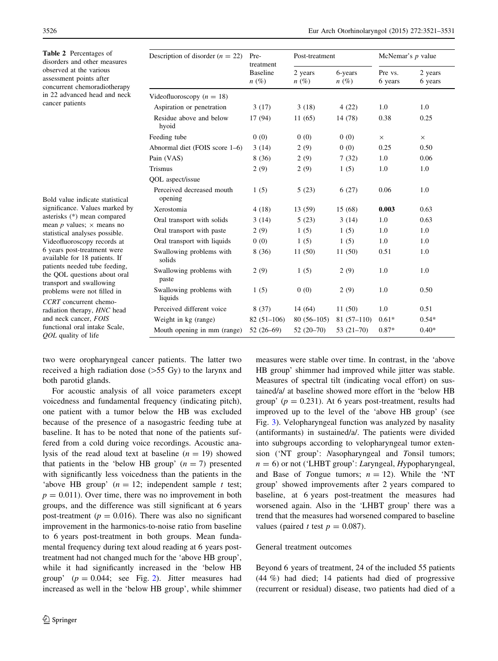<span id="page-6-0"></span>Table 2 Percentages of disorders and other measures observed at the various assessment points after concurrent chemoradiotherapy in 22 advanced head and neck cancer patients

Bold value indicate statistical significance. Values marked by asterisks (\*) mean compared mean *p* values;  $\times$  means no statistical analyses possible. Videofluoroscopy records at 6 years post-treatment were available for 18 patients. If patients needed tube feeding, the QOL questions about oral transport and swallowing problems were not filled in CCRT concurrent chemoradiation therapy, HNC head and neck cancer, FOIS functional oral intake Scale, QOL quality of life

| Description of disorder $(n = 22)$   | Pre-<br>Post-treatment                  |                    |                    | McNemar's $p$ value |                    |
|--------------------------------------|-----------------------------------------|--------------------|--------------------|---------------------|--------------------|
|                                      | treatment<br><b>Baseline</b><br>$n(\%)$ | 2 years<br>$n(\%)$ | 6-years<br>$n(\%)$ | Pre vs.<br>6 years  | 2 years<br>6 years |
| Videofluoroscopy ( $n = 18$ )        |                                         |                    |                    |                     |                    |
| Aspiration or penetration            | 3(17)                                   | 3(18)              | 4(22)              | 1.0                 | 1.0                |
| Residue above and below<br>hyoid     | 17 (94)                                 | 11(65)             | 14 (78)            | 0.38                | 0.25               |
| Feeding tube                         | 0(0)                                    | 0(0)               | 0(0)               | $\times$            | $\times$           |
| Abnormal diet (FOIS score 1–6)       | 3(14)                                   | 2(9)               | 0(0)               | 0.25                | 0.50               |
| Pain (VAS)                           | 8(36)                                   | 2(9)               | 7(32)              | 1.0                 | 0.06               |
| <b>Trismus</b>                       | 2(9)                                    | 2(9)               | 1(5)               | 1.0                 | 1.0                |
| QOL aspect/issue                     |                                         |                    |                    |                     |                    |
| Perceived decreased mouth<br>opening | 1(5)                                    | 5(23)              | 6(27)              | 0.06                | 1.0                |
| Xerostomia                           | 4(18)                                   | 13 (59)            | 15 (68)            | 0.003               | 0.63               |
| Oral transport with solids           | 3(14)                                   | 5(23)              | 3(14)              | 1.0                 | 0.63               |
| Oral transport with paste            | 2(9)                                    | 1(5)               | 1(5)               | 1.0                 | 1.0                |
| Oral transport with liquids          | 0(0)                                    | 1(5)               | 1(5)               | 1.0                 | 1.0                |
| Swallowing problems with<br>solids   | 8(36)                                   | 11(50)             | 11(50)             | 0.51                | 1.0                |
| Swallowing problems with<br>paste    | 2(9)                                    | 1(5)               | 2(9)               | 1.0                 | 1.0                |
| Swallowing problems with<br>liquids  | 1(5)                                    | 0(0)               | 2(9)               | 1.0                 | 0.50               |
| Perceived different voice            | 8(37)                                   | 14 (64)            | 11(50)             | 1.0                 | 0.51               |
| Weight in kg (range)                 | $82(51-106)$                            | $80(56-105)$       | $81(57-110)$       | $0.61*$             | $0.54*$            |
| Mouth opening in mm (range)          | $52(26-69)$                             | $52(20-70)$        | $53(21-70)$        | $0.87*$             | $0.40*$            |

two were oropharyngeal cancer patients. The latter two received a high radiation dose  $(>55 \text{ Gy})$  to the larynx and both parotid glands.

For acoustic analysis of all voice parameters except voicedness and fundamental frequency (indicating pitch), one patient with a tumor below the HB was excluded because of the presence of a nasogastric feeding tube at baseline. It has to be noted that none of the patients suffered from a cold during voice recordings. Acoustic analysis of the read aloud text at baseline  $(n = 19)$  showed that patients in the 'below HB group'  $(n = 7)$  presented with significantly less voicedness than the patients in the 'above HB group'  $(n = 12;$  independent sample t test;  $p = 0.011$ ). Over time, there was no improvement in both groups, and the difference was still significant at 6 years post-treatment ( $p = 0.016$ ). There was also no significant improvement in the harmonics-to-noise ratio from baseline to 6 years post-treatment in both groups. Mean fundamental frequency during text aloud reading at 6 years posttreatment had not changed much for the 'above HB group', while it had significantly increased in the 'below HB group'  $(p = 0.044; \text{ see Fig. 2}).$  $(p = 0.044; \text{ see Fig. 2}).$  $(p = 0.044; \text{ see Fig. 2}).$  Jitter measures had increased as well in the 'below HB group', while shimmer measures were stable over time. In contrast, in the 'above HB group' shimmer had improved while jitter was stable. Measures of spectral tilt (indicating vocal effort) on sustained/a/ at baseline showed more effort in the 'below HB group' ( $p = 0.231$ ). At 6 years post-treatment, results had improved up to the level of the 'above HB group' (see Fig. [3](#page-7-0)). Velopharyngeal function was analyzed by nasality (antiformants) in sustained/a/. The patients were divided into subgroups according to velopharyngeal tumor extension ('NT group': Nasopharyngeal and Tonsil tumors;  $n = 6$ ) or not ('LHBT group': Laryngeal, Hypopharyngeal, and Base of Tongue tumors;  $n = 12$ ). While the 'NT group' showed improvements after 2 years compared to baseline, at 6 years post-treatment the measures had worsened again. Also in the 'LHBT group' there was a trend that the measures had worsened compared to baseline values (paired t test  $p = 0.087$ ).

#### General treatment outcomes

Beyond 6 years of treatment, 24 of the included 55 patients (44 %) had died; 14 patients had died of progressive (recurrent or residual) disease, two patients had died of a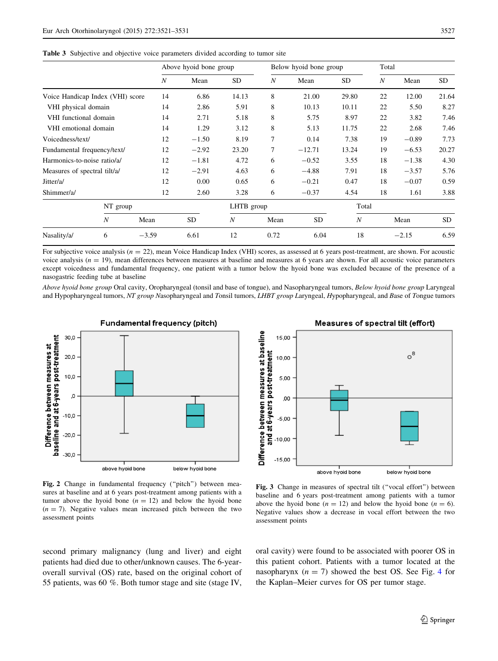<span id="page-7-0"></span>Table 3 Subjective and objective voice parameters divided according to tumor site

|                                  |          |                  | Above hyoid bone group |                  |      | Below hyoid bone group |                  | Total            |         |           |
|----------------------------------|----------|------------------|------------------------|------------------|------|------------------------|------------------|------------------|---------|-----------|
|                                  |          | $\boldsymbol{N}$ | Mean                   | <b>SD</b>        | N    | Mean                   | <b>SD</b>        | $\boldsymbol{N}$ | Mean    | <b>SD</b> |
| Voice Handicap Index (VHI) score |          | 14               | 6.86                   | 14.13            | 8    | 21.00                  | 29.80            | 22               | 12.00   | 21.64     |
| VHI physical domain              |          | 14               | 2.86                   | 5.91             | 8    | 10.13                  | 10.11            | 22               | 5.50    | 8.27      |
| VHI functional domain            |          | 14               | 2.71                   | 5.18             | 8    | 5.75                   | 8.97             | 22               | 3.82    | 7.46      |
| VHI emotional domain             |          | 14               | 1.29                   | 3.12             | 8    | 5.13                   | 11.75            | 22               | 2.68    | 7.46      |
| Voicedness/text/                 |          | 12               | $-1.50$                | 8.19             | 7    | 0.14                   | 7.38             | 19               | $-0.89$ | 7.73      |
| Fundamental frequency/text/      |          | 12               | $-2.92$                | 23.20            | 7    | $-12.71$               | 13.24            | 19               | $-6.53$ | 20.27     |
| Harmonics-to-noise ratio/a/      |          | 12               | $-1.81$                | 4.72             | 6    | $-0.52$                | 3.55             | 18               | $-1.38$ | 4.30      |
| Measures of spectral tilt/a/     |          | 12               | $-2.91$                | 4.63             | 6    | $-4.88$                | 7.91             | 18               | $-3.57$ | 5.76      |
| Jitter/a/                        |          | 12               | 0.00                   | 0.65             | 6    | $-0.21$                | 0.47             | 18               | $-0.07$ | 0.59      |
| Shimmer/a/                       |          | 12               | 2.60                   | 3.28             | 6    | $-0.37$                | 4.54             | 18               | 1.61    | 3.88      |
| $\boldsymbol{N}$                 | NT group |                  |                        | LHTB group       |      |                        | Total            |                  |         |           |
|                                  |          | Mean             | <b>SD</b>              | $\boldsymbol{N}$ | Mean | <b>SD</b>              | $\boldsymbol{N}$ |                  | Mean    | <b>SD</b> |
| Nasality/a/                      | 6        | $-3.59$          | 6.61                   | 12               | 0.72 | 6.04                   | 18               |                  | $-2.15$ | 6.59      |

For subjective voice analysis  $(n = 22)$ , mean Voice Handicap Index (VHI) scores, as assessed at 6 years post-treatment, are shown. For acoustic voice analysis  $(n = 19)$ , mean differences between measures at baseline and measures at 6 years are shown. For all acoustic voice parameters except voicedness and fundamental frequency, one patient with a tumor below the hyoid bone was excluded because of the presence of a nasogastric feeding tube at baseline

Above hyoid bone group Oral cavity, Oropharyngeal (tonsil and base of tongue), and Nasopharyngeal tumors, Below hyoid bone group Laryngeal and Hypopharyngeal tumors, NT group Nasopharyngeal and Tonsil tumors, LHBT group Laryngeal, Hypopharyngeal, and Base of Tongue tumors

![](_page_7_Figure_5.jpeg)

Fundamental frequency (pitch)

![](_page_7_Figure_7.jpeg)

Measures of spectral tilt (effort)

Fig. 2 Change in fundamental frequency ("pitch") between measures at baseline and at 6 years post-treatment among patients with a tumor above the hyoid bone  $(n = 12)$  and below the hyoid bone  $(n = 7)$ . Negative values mean increased pitch between the two assessment points

Fig. 3 Change in measures of spectral tilt (''vocal effort'') between baseline and 6 years post-treatment among patients with a tumor above the hyoid bone ( $n = 12$ ) and below the hyoid bone ( $n = 6$ ). Negative values show a decrease in vocal effort between the two assessment points

second primary malignancy (lung and liver) and eight patients had died due to other/unknown causes. The 6-yearoverall survival (OS) rate, based on the original cohort of 55 patients, was 60 %. Both tumor stage and site (stage IV, oral cavity) were found to be associated with poorer OS in this patient cohort. Patients with a tumor located at the nasopharynx  $(n = 7)$  showed the best OS. See Fig. [4](#page-8-0) for the Kaplan–Meier curves for OS per tumor stage.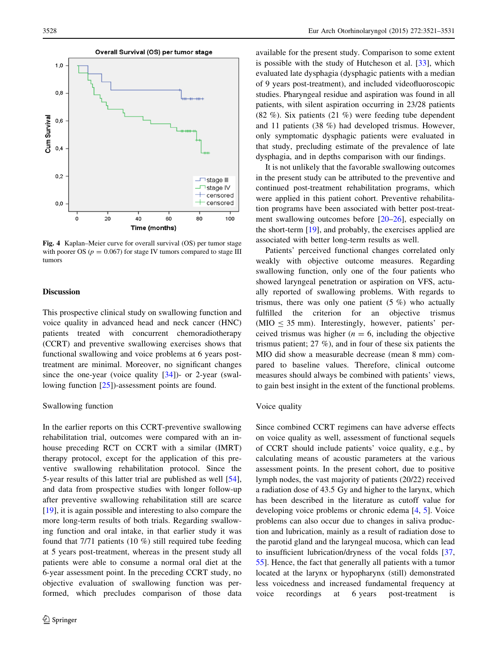<span id="page-8-0"></span>![](_page_8_Figure_1.jpeg)

Fig. 4 Kaplan–Meier curve for overall survival (OS) per tumor stage with poorer OS ( $p = 0.067$ ) for stage IV tumors compared to stage III tumors

#### Discussion

This prospective clinical study on swallowing function and voice quality in advanced head and neck cancer (HNC) patients treated with concurrent chemoradiotherapy (CCRT) and preventive swallowing exercises shows that functional swallowing and voice problems at 6 years posttreatment are minimal. Moreover, no significant changes since the one-year (voice quality [\[34](#page-10-0)])- or 2-year (swallowing function [\[25](#page-10-0)])-assessment points are found.

#### Swallowing function

In the earlier reports on this CCRT-preventive swallowing rehabilitation trial, outcomes were compared with an inhouse preceding RCT on CCRT with a similar (IMRT) therapy protocol, except for the application of this preventive swallowing rehabilitation protocol. Since the 5-year results of this latter trial are published as well [\[54](#page-11-0)], and data from prospective studies with longer follow-up after preventive swallowing rehabilitation still are scarce [\[19](#page-10-0)], it is again possible and interesting to also compare the more long-term results of both trials. Regarding swallowing function and oral intake, in that earlier study it was found that 7/71 patients (10 %) still required tube feeding at 5 years post-treatment, whereas in the present study all patients were able to consume a normal oral diet at the 6-year assessment point. In the preceding CCRT study, no objective evaluation of swallowing function was performed, which precludes comparison of those data available for the present study. Comparison to some extent is possible with the study of Hutcheson et al. [\[33](#page-10-0)], which evaluated late dysphagia (dysphagic patients with a median of 9 years post-treatment), and included videofluoroscopic studies. Pharyngeal residue and aspiration was found in all patients, with silent aspiration occurring in 23/28 patients (82 %). Six patients (21 %) were feeding tube dependent and 11 patients (38 %) had developed trismus. However, only symptomatic dysphagic patients were evaluated in that study, precluding estimate of the prevalence of late dysphagia, and in depths comparison with our findings.

It is not unlikely that the favorable swallowing outcomes in the present study can be attributed to the preventive and continued post-treatment rehabilitation programs, which were applied in this patient cohort. Preventive rehabilitation programs have been associated with better post-treatment swallowing outcomes before [\[20–26](#page-10-0)], especially on the short-term [[19\]](#page-10-0), and probably, the exercises applied are associated with better long-term results as well.

Patients' perceived functional changes correlated only weakly with objective outcome measures. Regarding swallowing function, only one of the four patients who showed laryngeal penetration or aspiration on VFS, actually reported of swallowing problems. With regards to trismus, there was only one patient  $(5 \%)$  who actually fulfilled the criterion for an objective trismus  $(MIO \leq 35$  mm). Interestingly, however, patients' perceived trismus was higher ( $n = 6$ , including the objective trismus patient; 27 %), and in four of these six patients the MIO did show a measurable decrease (mean 8 mm) compared to baseline values. Therefore, clinical outcome measures should always be combined with patients' views, to gain best insight in the extent of the functional problems.

#### Voice quality

Since combined CCRT regimens can have adverse effects on voice quality as well, assessment of functional sequels of CCRT should include patients' voice quality, e.g., by calculating means of acoustic parameters at the various assessment points. In the present cohort, due to positive lymph nodes, the vast majority of patients (20/22) received a radiation dose of 43.5 Gy and higher to the larynx, which has been described in the literature as cutoff value for developing voice problems or chronic edema [[4,](#page-9-0) [5](#page-9-0)]. Voice problems can also occur due to changes in saliva production and lubrication, mainly as a result of radiation dose to the parotid gland and the laryngeal mucosa, which can lead to insufficient lubrication/dryness of the vocal folds [[37,](#page-10-0) [55](#page-11-0)]. Hence, the fact that generally all patients with a tumor located at the larynx or hypopharynx (still) demonstrated less voicedness and increased fundamental frequency at voice recordings at 6 years post-treatment is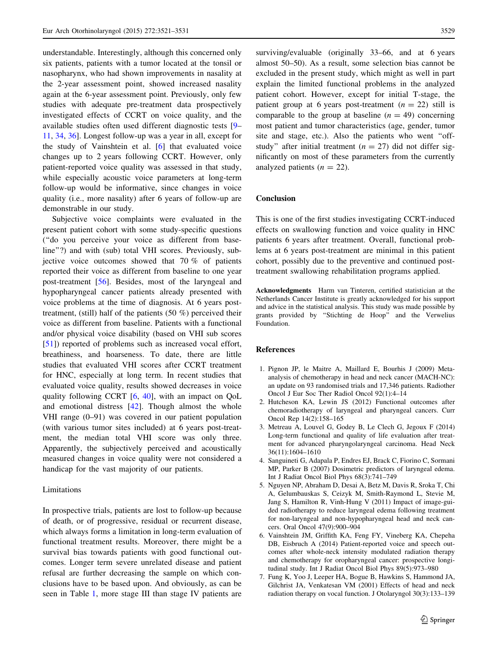<span id="page-9-0"></span>understandable. Interestingly, although this concerned only six patients, patients with a tumor located at the tonsil or nasopharynx, who had shown improvements in nasality at the 2-year assessment point, showed increased nasality again at the 6-year assessment point. Previously, only few studies with adequate pre-treatment data prospectively investigated effects of CCRT on voice quality, and the available studies often used different diagnostic tests [\[9](#page-10-0)– [11](#page-10-0), [34](#page-10-0), [36](#page-10-0)]. Longest follow-up was a year in all, except for the study of Vainshtein et al. [6] that evaluated voice changes up to 2 years following CCRT. However, only patient-reported voice quality was assessed in that study, while especially acoustic voice parameters at long-term follow-up would be informative, since changes in voice quality (i.e., more nasality) after 6 years of follow-up are demonstrable in our study.

Subjective voice complaints were evaluated in the present patient cohort with some study-specific questions (''do you perceive your voice as different from baseline''?) and with (sub) total VHI scores. Previously, subjective voice outcomes showed that 70 % of patients reported their voice as different from baseline to one year post-treatment [\[56](#page-11-0)]. Besides, most of the laryngeal and hypopharyngeal cancer patients already presented with voice problems at the time of diagnosis. At 6 years posttreatment, (still) half of the patients  $(50 \%)$  perceived their voice as different from baseline. Patients with a functional and/or physical voice disability (based on VHI sub scores [\[51](#page-11-0)]) reported of problems such as increased vocal effort, breathiness, and hoarseness. To date, there are little studies that evaluated VHI scores after CCRT treatment for HNC, especially at long term. In recent studies that evaluated voice quality, results showed decreases in voice quality following CCRT [6, [40\]](#page-11-0), with an impact on QoL and emotional distress [[42\]](#page-11-0). Though almost the whole VHI range (0–91) was covered in our patient population (with various tumor sites included) at 6 years post-treatment, the median total VHI score was only three. Apparently, the subjectively perceived and acoustically measured changes in voice quality were not considered a handicap for the vast majority of our patients.

#### Limitations

In prospective trials, patients are lost to follow-up because of death, or of progressive, residual or recurrent disease, which always forms a limitation in long-term evaluation of functional treatment results. Moreover, there might be a survival bias towards patients with good functional outcomes. Longer term severe unrelated disease and patient refusal are further decreasing the sample on which conclusions have to be based upon. And obviously, as can be seen in Table [1,](#page-5-0) more stage III than stage IV patients are surviving/evaluable (originally 33–66, and at 6 years almost 50–50). As a result, some selection bias cannot be excluded in the present study, which might as well in part explain the limited functional problems in the analyzed patient cohort. However, except for initial T-stage, the patient group at 6 years post-treatment  $(n = 22)$  still is comparable to the group at baseline  $(n = 49)$  concerning most patient and tumor characteristics (age, gender, tumor site and stage, etc.). Also the patients who went ''offstudy" after initial treatment ( $n = 27$ ) did not differ significantly on most of these parameters from the currently analyzed patients  $(n = 22)$ .

#### Conclusion

This is one of the first studies investigating CCRT-induced effects on swallowing function and voice quality in HNC patients 6 years after treatment. Overall, functional problems at 6 years post-treatment are minimal in this patient cohort, possibly due to the preventive and continued posttreatment swallowing rehabilitation programs applied.

Acknowledgments Harm van Tinteren, certified statistician at the Netherlands Cancer Institute is greatly acknowledged for his support and advice in the statistical analysis. This study was made possible by grants provided by ''Stichting de Hoop'' and the Verwelius Foundation.

#### References

- 1. Pignon JP, le Maitre A, Maillard E, Bourhis J (2009) Metaanalysis of chemotherapy in head and neck cancer (MACH-NC): an update on 93 randomised trials and 17,346 patients. Radiother Oncol J Eur Soc Ther Radiol Oncol 92(1):4–14
- 2. Hutcheson KA, Lewin JS (2012) Functional outcomes after chemoradiotherapy of laryngeal and pharyngeal cancers. Curr Oncol Rep 14(2):158–165
- 3. Metreau A, Louvel G, Godey B, Le Clech G, Jegoux F (2014) Long-term functional and quality of life evaluation after treatment for advanced pharyngolaryngeal carcinoma. Head Neck 36(11):1604–1610
- 4. Sanguineti G, Adapala P, Endres EJ, Brack C, Fiorino C, Sormani MP, Parker B (2007) Dosimetric predictors of laryngeal edema. Int J Radiat Oncol Biol Phys 68(3):741–749
- 5. Nguyen NP, Abraham D, Desai A, Betz M, Davis R, Sroka T, Chi A, Gelumbauskas S, Ceizyk M, Smith-Raymond L, Stevie M, Jang S, Hamilton R, Vinh-Hung V (2011) Impact of image-guided radiotherapy to reduce laryngeal edema following treatment for non-laryngeal and non-hypopharyngeal head and neck cancers. Oral Oncol 47(9):900–904
- 6. Vainshtein JM, Griffith KA, Feng FY, Vineberg KA, Chepeha DB, Eisbruch A (2014) Patient-reported voice and speech outcomes after whole-neck intensity modulated radiation therapy and chemotherapy for oropharyngeal cancer: prospective longitudinal study. Int J Radiat Oncol Biol Phys 89(5):973–980
- 7. Fung K, Yoo J, Leeper HA, Bogue B, Hawkins S, Hammond JA, Gilchrist JA, Venkatesan VM (2001) Effects of head and neck radiation therapy on vocal function. J Otolaryngol 30(3):133–139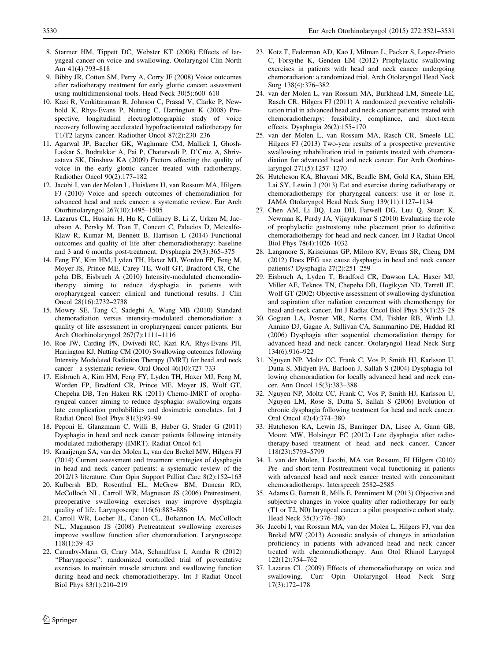- <span id="page-10-0"></span>8. Starmer HM, Tippett DC, Webster KT (2008) Effects of laryngeal cancer on voice and swallowing. Otolaryngol Clin North Am 41(4):793–818
- 9. Bibby JR, Cotton SM, Perry A, Corry JF (2008) Voice outcomes after radiotherapy treatment for early glottic cancer: assessment using multidimensional tools. Head Neck 30(5):600–610
- 10. Kazi R, Venkitaraman R, Johnson C, Prasad V, Clarke P, Newbold K, Rhys-Evans P, Nutting C, Harrington K (2008) Prospective, longitudinal electroglottographic study of voice recovery following accelerated hypofractionated radiotherapy for T1/T2 larynx cancer. Radiother Oncol 87(2):230–236
- 11. Agarwal JP, Baccher GK, Waghmare CM, Mallick I, Ghosh-Laskar S, Budrukkar A, Pai P, Chaturvedi P, D'Cruz A, Shrivastava SK, Dinshaw KA (2009) Factors affecting the quality of voice in the early glottic cancer treated with radiotherapy. Radiother Oncol 90(2):177–182
- 12. Jacobi I, van der Molen L, Huiskens H, van Rossum MA, Hilgers FJ (2010) Voice and speech outcomes of chemoradiation for advanced head and neck cancer: a systematic review. Eur Arch Otorhinolaryngol 267(10):1495–1505
- 13. Lazarus CL, Husaini H, Hu K, Culliney B, Li Z, Urken M, Jacobson A, Persky M, Tran T, Concert C, Palacios D, Metcalfe-Klaw R, Kumar M, Bennett B, Harrison L (2014) Functional outcomes and quality of life after chemoradiotherapy: baseline and 3 and 6 months post-treatment. Dysphagia 29(3):365–375
- 14. Feng FY, Kim HM, Lyden TH, Haxer MJ, Worden FP, Feng M, Moyer JS, Prince ME, Carey TE, Wolf GT, Bradford CR, Chepeha DB, Eisbruch A (2010) Intensity-modulated chemoradiotherapy aiming to reduce dysphagia in patients with oropharyngeal cancer: clinical and functional results. J Clin Oncol 28(16):2732–2738
- 15. Mowry SE, Tang C, Sadeghi A, Wang MB (2010) Standard chemoradiation versus intensity-modulated chemoradiation: a quality of life assessment in oropharyngeal cancer patients. Eur Arch Otorhinolaryngol 267(7):1111–1116
- 16. Roe JW, Carding PN, Dwivedi RC, Kazi RA, Rhys-Evans PH, Harrington KJ, Nutting CM (2010) Swallowing outcomes following Intensity Modulated Radiation Therapy (IMRT) for head and neck cancer—a systematic review. Oral Oncol 46(10):727–733
- 17. Eisbruch A, Kim HM, Feng FY, Lyden TH, Haxer MJ, Feng M, Worden FP, Bradford CR, Prince ME, Moyer JS, Wolf GT, Chepeha DB, Ten Haken RK (2011) Chemo-IMRT of oropharyngeal cancer aiming to reduce dysphagia: swallowing organs late complication probabilities and dosimetric correlates. Int J Radiat Oncol Biol Phys 81(3):93–99
- 18. Peponi E, Glanzmann C, Willi B, Huber G, Studer G (2011) Dysphagia in head and neck cancer patients following intensity modulated radiotherapy (IMRT). Radiat Oncol 6:1
- 19. Kraaijenga SA, van der Molen L, van den Brekel MW, Hilgers FJ (2014) Current assessment and treatment strategies of dysphagia in head and neck cancer patients: a systematic review of the 2012/13 literature. Curr Opin Support Palliat Care 8(2):152–163
- 20. Kulbersh BD, Rosenthal EL, McGrew BM, Duncan RD, McColloch NL, Carroll WR, Magnuson JS (2006) Pretreatment, preoperative swallowing exercises may improve dysphagia quality of life. Laryngoscope 116(6):883–886
- 21. Carroll WR, Locher JL, Canon CL, Bohannon IA, McColloch NL, Magnuson JS (2008) Pretreatment swallowing exercises improve swallow function after chemoradiation. Laryngoscope 118(1):39–43
- 22. Carnaby-Mann G, Crary MA, Schmalfuss I, Amdur R (2012) "Pharyngocise": randomized controlled trial of preventative exercises to maintain muscle structure and swallowing function during head-and-neck chemoradiotherapy. Int J Radiat Oncol Biol Phys 83(1):210–219
- 23. Kotz T, Federman AD, Kao J, Milman L, Packer S, Lopez-Prieto C, Forsythe K, Genden EM (2012) Prophylactic swallowing exercises in patients with head and neck cancer undergoing chemoradiation: a randomized trial. Arch Otolaryngol Head Neck Surg 138(4):376–382
- 24. van der Molen L, van Rossum MA, Burkhead LM, Smeele LE, Rasch CR, Hilgers FJ (2011) A randomized preventive rehabilitation trial in advanced head and neck cancer patients treated with chemoradiotherapy: feasibility, compliance, and short-term effects. Dysphagia 26(2):155–170
- 25. van der Molen L, van Rossum MA, Rasch CR, Smeele LE, Hilgers FJ (2013) Two-year results of a prospective preventive swallowing rehabilitation trial in patients treated with chemoradiation for advanced head and neck cancer. Eur Arch Otorhinolaryngol 271(5):1257–1270
- 26. Hutcheson KA, Bhayani MK, Beadle BM, Gold KA, Shinn EH, Lai SY, Lewin J (2013) Eat and exercise during radiotherapy or chemoradiotherapy for pharyngeal cancers: use it or lose it. JAMA Otolaryngol Head Neck Surg 139(11):1127–1134
- 27. Chen AM, Li BQ, Lau DH, Farwell DG, Luu Q, Stuart K, Newman K, Purdy JA, Vijayakumar S (2010) Evaluating the role of prophylactic gastrostomy tube placement prior to definitive chemoradiotherapy for head and neck cancer. Int J Radiat Oncol Biol Phys 78(4):1026–1032
- 28. Langmore S, Krisciunas GP, Miloro KV, Evans SR, Cheng DM (2012) Does PEG use cause dysphagia in head and neck cancer patients? Dysphagia 27(2):251–259
- 29. Eisbruch A, Lyden T, Bradford CR, Dawson LA, Haxer MJ, Miller AE, Teknos TN, Chepeha DB, Hogikyan ND, Terrell JE, Wolf GT (2002) Objective assessment of swallowing dysfunction and aspiration after radiation concurrent with chemotherapy for head-and-neck cancer. Int J Radiat Oncol Biol Phys 53(1):23–28
- 30. Goguen LA, Posner MR, Norris CM, Tishler RB, Wirth LJ, Annino DJ, Gagne A, Sullivan CA, Sammartino DE, Haddad RI (2006) Dysphagia after sequential chemoradiation therapy for advanced head and neck cancer. Otolaryngol Head Neck Surg 134(6):916–922
- 31. Nguyen NP, Moltz CC, Frank C, Vos P, Smith HJ, Karlsson U, Dutta S, Midyett FA, Barloon J, Sallah S (2004) Dysphagia following chemoradiation for locally advanced head and neck cancer. Ann Oncol 15(3):383–388
- 32. Nguyen NP, Moltz CC, Frank C, Vos P, Smith HJ, Karlsson U, Nguyen LM, Rose S, Dutta S, Sallah S (2006) Evolution of chronic dysphagia following treatment for head and neck cancer. Oral Oncol 42(4):374–380
- 33. Hutcheson KA, Lewin JS, Barringer DA, Lisec A, Gunn GB, Moore MW, Holsinger FC (2012) Late dysphagia after radiotherapy-based treatment of head and neck cancer. Cancer 118(23):5793–5799
- 34. L van der Molen, I Jacobi, MA van Rossum, FJ Hilgers (2010) Pre- and short-term Posttreatment vocal functioning in patients with advanced head and neck cancer treated with concomitant chemoradiotherapy. Interspeech 2582–2585
- 35. Adams G, Burnett R, Mills E, Penniment M (2013) Objective and subjective changes in voice quality after radiotherapy for early (T1 or T2, N0) laryngeal cancer: a pilot prospective cohort study. Head Neck 35(3):376–380
- 36. Jacobi I, van Rossum MA, van der Molen L, Hilgers FJ, van den Brekel MW (2013) Acoustic analysis of changes in articulation proficiency in patients with advanced head and neck cancer treated with chemoradiotherapy. Ann Otol Rhinol Laryngol 122(12):754–762
- 37. Lazarus CL (2009) Effects of chemoradiotherapy on voice and swallowing. Curr Opin Otolaryngol Head Neck Surg 17(3):172–178